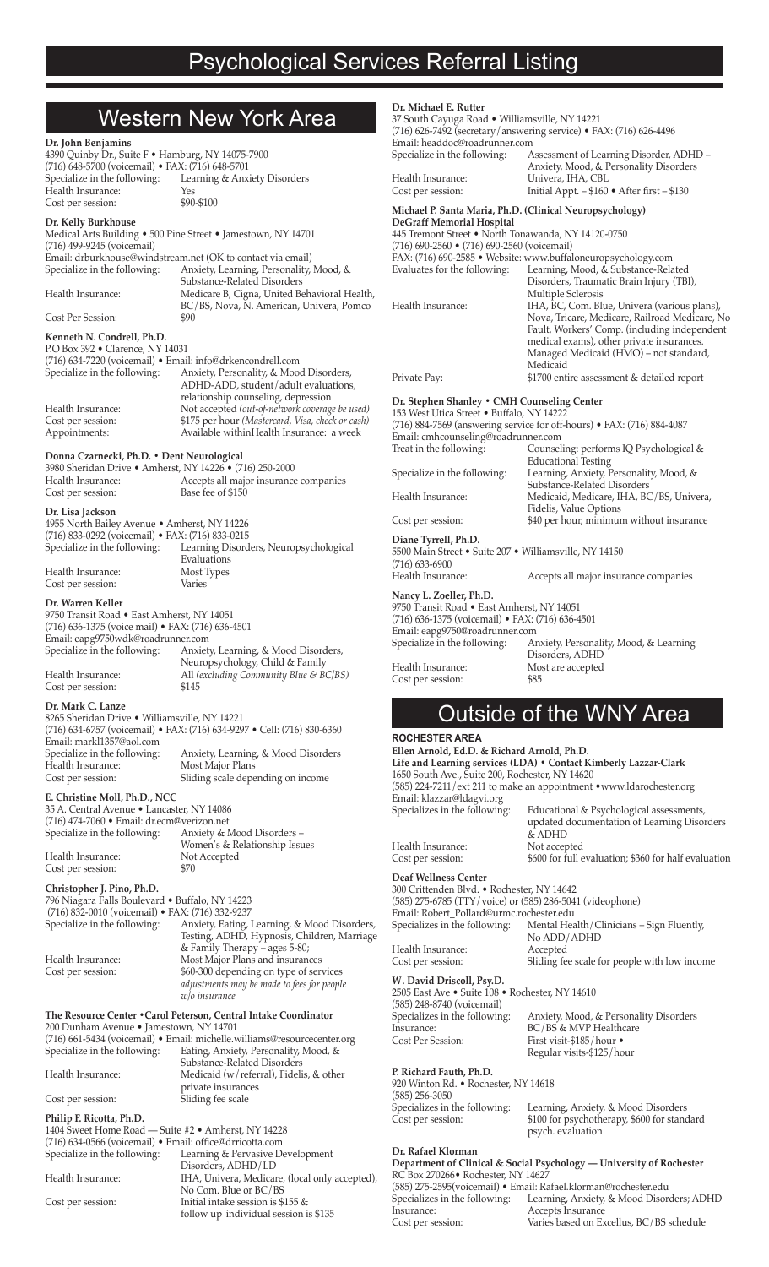|                                                                                                                                                    |                                                                                                                   | Dr. Michael E. Rutter                                                                                                                                                                                                                                               |                                                                                           |
|----------------------------------------------------------------------------------------------------------------------------------------------------|-------------------------------------------------------------------------------------------------------------------|---------------------------------------------------------------------------------------------------------------------------------------------------------------------------------------------------------------------------------------------------------------------|-------------------------------------------------------------------------------------------|
| <b>Western New York Area</b>                                                                                                                       |                                                                                                                   | 37 South Cayuga Road · Williamsville, NY 14221                                                                                                                                                                                                                      |                                                                                           |
| Dr. John Benjamins                                                                                                                                 |                                                                                                                   | (716) 626-7492 (secretary/answering service) • FAX: (716) 626-4496<br>Email: headdoc@roadrunner.com                                                                                                                                                                 |                                                                                           |
| 4390 Quinby Dr., Suite F · Hamburg, NY 14075-7900                                                                                                  |                                                                                                                   | Specialize in the following:                                                                                                                                                                                                                                        | Assessment of Learning Disorder, ADHD -                                                   |
| (716) 648-5700 (voicemail) · FAX: (716) 648-5701<br>Specialize in the following:                                                                   | Learning & Anxiety Disorders                                                                                      | Health Insurance:                                                                                                                                                                                                                                                   | Anxiety, Mood, & Personality Disorders<br>Univera, IHA, CBL                               |
| Health Insurance:                                                                                                                                  | Yes                                                                                                               | Cost per session:                                                                                                                                                                                                                                                   | Initial Appt. - \$160 . After first - \$130                                               |
| Cost per session:                                                                                                                                  | \$90-\$100                                                                                                        | Michael P. Santa Maria, Ph.D. (Clinical Neuropsychology)                                                                                                                                                                                                            |                                                                                           |
| Dr. Kelly Burkhouse                                                                                                                                | Medical Arts Building . 500 Pine Street . Jamestown, NY 14701                                                     | DeGraff Memorial Hospital<br>445 Tremont Street . North Tonawanda, NY 14120-0750                                                                                                                                                                                    |                                                                                           |
| (716) 499-9245 (voicemail)                                                                                                                         |                                                                                                                   | $(716)$ 690-2560 • $(716)$ 690-2560 (voicemail)<br>FAX: (716) 690-2585 • Website: www.buffaloneuropsychology.com                                                                                                                                                    |                                                                                           |
| Specialize in the following:                                                                                                                       | Email: drburkhouse@windstream.net (OK to contact via email)<br>Anxiety, Learning, Personality, Mood, &            | Evaluates for the following:                                                                                                                                                                                                                                        | Learning, Mood, & Substance-Related                                                       |
| Health Insurance:                                                                                                                                  | Substance-Related Disorders                                                                                       |                                                                                                                                                                                                                                                                     | Disorders, Traumatic Brain Injury (TBI),                                                  |
|                                                                                                                                                    | Medicare B, Cigna, United Behavioral Health,<br>BC/BS, Nova, N. American, Univera, Pomco                          | Health Insurance:                                                                                                                                                                                                                                                   | Multiple Sclerosis<br>IHA, BC, Com. Blue, Univera (various plans),                        |
| Cost Per Session:                                                                                                                                  | \$90                                                                                                              |                                                                                                                                                                                                                                                                     | Nova, Tricare, Medicare, Railroad Medicare, No                                            |
| Kenneth N. Condrell, Ph.D.                                                                                                                         |                                                                                                                   |                                                                                                                                                                                                                                                                     | Fault, Workers' Comp. (including independent<br>medical exams), other private insurances. |
| P.O Box 392 • Clarence, NY 14031<br>(716) 634-7220 (voicemail) · Email: info@drkencondrell.com                                                     |                                                                                                                   |                                                                                                                                                                                                                                                                     | Managed Medicaid (HMO) - not standard,<br>Medicaid                                        |
| Specialize in the following:                                                                                                                       | Anxiety, Personality, & Mood Disorders,                                                                           | Private Pay:                                                                                                                                                                                                                                                        | \$1700 entire assessment & detailed report                                                |
|                                                                                                                                                    | ADHD-ADD, student/adult evaluations,<br>relationship counseling, depression                                       |                                                                                                                                                                                                                                                                     |                                                                                           |
| Health Insurance:                                                                                                                                  | Not accepted (out-of-network coverage be used)                                                                    | Dr. Stephen Shanley . CMH Counseling Center<br>153 West Utica Street . Buffalo, NY 14222                                                                                                                                                                            |                                                                                           |
| Cost per session:<br>Appointments:                                                                                                                 | \$175 per hour (Mastercard, Visa, check or cash)<br>Available withinHealth Insurance: a week                      |                                                                                                                                                                                                                                                                     | (716) 884-7569 (answering service for off-hours) • FAX: (716) 884-4087                    |
|                                                                                                                                                    |                                                                                                                   | Email: cmhcounseling@roadrunner.com<br>Treat in the following:                                                                                                                                                                                                      | Counseling: performs IQ Psychological &                                                   |
| Donna Czarnecki, Ph.D. • Dent Neurological<br>3980 Sheridan Drive . Amherst, NY 14226 . (716) 250-2000                                             |                                                                                                                   |                                                                                                                                                                                                                                                                     | <b>Educational Testing</b>                                                                |
| Health Insurance:                                                                                                                                  | Accepts all major insurance companies                                                                             | Specialize in the following:                                                                                                                                                                                                                                        | Learning, Anxiety, Personality, Mood, &<br>Substance-Related Disorders                    |
| Cost per session:                                                                                                                                  | Base fee of \$150                                                                                                 | Health Insurance:                                                                                                                                                                                                                                                   | Medicaid, Medicare, IHA, BC/BS, Univera,                                                  |
| Dr. Lisa Jackson<br>4955 North Bailey Avenue . Amherst, NY 14226                                                                                   |                                                                                                                   | Cost per session:                                                                                                                                                                                                                                                   | Fidelis, Value Options<br>\$40 per hour, minimum without insurance                        |
| (716) 833-0292 (voicemail) • FAX: (716) 833-0215                                                                                                   |                                                                                                                   | Diane Tyrrell, Ph.D.                                                                                                                                                                                                                                                |                                                                                           |
| Specialize in the following:                                                                                                                       | Learning Disorders, Neuropsychological                                                                            | 5500 Main Street • Suite 207 • Williamsville, NY 14150                                                                                                                                                                                                              |                                                                                           |
| Health Insurance:                                                                                                                                  | Evaluations<br>Most Types                                                                                         | $(716)$ 633-6900<br>Health Insurance:                                                                                                                                                                                                                               |                                                                                           |
| Cost per session:                                                                                                                                  | Varies                                                                                                            |                                                                                                                                                                                                                                                                     | Accepts all major insurance companies                                                     |
| Dr. Warren Keller                                                                                                                                  |                                                                                                                   | Nancy L. Zoeller, Ph.D.<br>9750 Transit Road • East Amherst, NY 14051                                                                                                                                                                                               |                                                                                           |
| 9750 Transit Road • East Amherst, NY 14051<br>(716) 636-1375 (voice mail) • FAX: (716) 636-4501                                                    |                                                                                                                   | (716) 636-1375 (voicemail) • FAX: (716) 636-4501                                                                                                                                                                                                                    |                                                                                           |
| Email: eapg9750wdk@roadrunner.com                                                                                                                  |                                                                                                                   | Email: eapg9750@roadrunner.com<br>Specialize in the following:                                                                                                                                                                                                      | Anxiety, Personality, Mood, & Learning                                                    |
|                                                                                                                                                    | Specialize in the following: Anxiety, Learning, & Mood Disorders,<br>Neuropsychology, Child & Family              |                                                                                                                                                                                                                                                                     | Disorders, ADHD                                                                           |
| Health Insurance:                                                                                                                                  | All (excluding Community Blue & $\dot{B}C/BS$ )                                                                   | Health Insurance:<br>Cost per session:                                                                                                                                                                                                                              | Most are accepted<br>\$85                                                                 |
| Cost per session:                                                                                                                                  | \$145                                                                                                             |                                                                                                                                                                                                                                                                     |                                                                                           |
| Dr. Mark C. Lanze                                                                                                                                  |                                                                                                                   |                                                                                                                                                                                                                                                                     | <b>Outside of the WNY Area</b>                                                            |
| 8265 Sheridan Drive . Williamsville, NY 14221<br>(716) 634-6757 (voicemail) • FAX: (716) 634-9297 • Cell: (716) 830-6360                           |                                                                                                                   |                                                                                                                                                                                                                                                                     |                                                                                           |
| Email: markl1357@aol.com<br>Specialize in the following:                                                                                           | Anxiety, Learning, & Mood Disorders                                                                               | <b>ROCHESTER AREA</b><br>Ellen Arnold, Ed.D. & Richard Arnold, Ph.D.<br>Life and Learning services (LDA) . Contact Kimberly Lazzar-Clark<br>1650 South Ave., Suite 200, Rochester, NY 14620<br>(585) 224-7211/ext 211 to make an appointment • www.ldarochester.org |                                                                                           |
| Health Insurance:                                                                                                                                  | Most Major Plans                                                                                                  |                                                                                                                                                                                                                                                                     |                                                                                           |
| Cost per session:                                                                                                                                  | Sliding scale depending on income                                                                                 |                                                                                                                                                                                                                                                                     |                                                                                           |
| E. Christine Moll, Ph.D., NCC                                                                                                                      |                                                                                                                   | Email: klazzar@ldagvi.org                                                                                                                                                                                                                                           |                                                                                           |
| 35 A. Central Avenue · Lancaster, NY 14086<br>(716) 474-7060 · Email: dr.ecm@verizon.net                                                           |                                                                                                                   | Specializes in the following:                                                                                                                                                                                                                                       | Educational & Psychological assessments,<br>updated documentation of Learning Disorders   |
| Specialize in the following:                                                                                                                       | Anxiety & Mood Disorders-                                                                                         |                                                                                                                                                                                                                                                                     | & ADHD                                                                                    |
| Health Insurance:                                                                                                                                  | Women's & Relationship Issues<br>Not Accepted                                                                     | Health Insurance:<br>Cost per session:                                                                                                                                                                                                                              | Not accepted<br>\$600 for full evaluation; \$360 for half evaluation                      |
| Cost per session:                                                                                                                                  | \$70                                                                                                              | Deaf Wellness Center                                                                                                                                                                                                                                                |                                                                                           |
| Christopher J. Pino, Ph.D.                                                                                                                         |                                                                                                                   | 300 Crittenden Blvd. • Rochester, NY 14642                                                                                                                                                                                                                          |                                                                                           |
| 796 Niagara Falls Boulevard • Buffalo, NY 14223<br>(716) 832-0010 (voicemail) • FAX: (716) 332-9237                                                |                                                                                                                   | (585) 275-6785 (TTY/voice) or (585) 286-5041 (videophone)<br>Email: Robert_Pollard@urmc.rochester.edu                                                                                                                                                               |                                                                                           |
| Specialize in the following:                                                                                                                       | Anxiety, Eating, Learning, & Mood Disorders,                                                                      | Specializes in the following:                                                                                                                                                                                                                                       | Mental Health/Clinicians - Sign Fluently,                                                 |
|                                                                                                                                                    | Testing, ADHD, Hypnosis, Children, Marriage<br>& Family Therapy - ages 5-80;                                      |                                                                                                                                                                                                                                                                     | No ADD/ADHD                                                                               |
| Health Insurance:                                                                                                                                  | Most Major Plans and insurances                                                                                   | Health Insurance:<br>Cost per session:                                                                                                                                                                                                                              | Accepted<br>Sliding fee scale for people with low income                                  |
| Cost per session:                                                                                                                                  | \$60-300 depending on type of services                                                                            | W. David Driscoll, Psy.D.                                                                                                                                                                                                                                           |                                                                                           |
|                                                                                                                                                    | adjustments may be made to fees for people<br>w/o insurance                                                       | 2505 East Ave · Suite 108 · Rochester, NY 14610                                                                                                                                                                                                                     |                                                                                           |
| The Resource Center . Carol Peterson, Central Intake Coordinator                                                                                   |                                                                                                                   | (585) 248-8740 (voicemail)<br>Specializes in the following:                                                                                                                                                                                                         | Anxiety, Mood, & Personality Disorders                                                    |
| 200 Dunham Avenue • Jamestown, NY 14701                                                                                                            |                                                                                                                   | Insurance:                                                                                                                                                                                                                                                          | BC/BS & MVP Healthcare                                                                    |
| Specialize in the following:                                                                                                                       | (716) 661-5434 (voicemail) · Email: michelle.williams@resourcecenter.org<br>Eating, Anxiety, Personality, Mood, & | Cost Per Session:                                                                                                                                                                                                                                                   | First visit-\$185/hour $\bullet$<br>Regular visits-\$125/hour                             |
|                                                                                                                                                    | Substance-Related Disorders                                                                                       |                                                                                                                                                                                                                                                                     |                                                                                           |
| Health Insurance:                                                                                                                                  | Medicaid (w/referral), Fidelis, & other<br>private insurances                                                     | P. Richard Fauth, Ph.D.<br>920 Winton Rd. • Rochester, NY 14618                                                                                                                                                                                                     |                                                                                           |
| Cost per session:                                                                                                                                  | Sliding fee scale                                                                                                 | $(585)$ 256-3050                                                                                                                                                                                                                                                    |                                                                                           |
| Philip F. Ricotta, Ph.D.                                                                                                                           |                                                                                                                   | Specializes in the following:<br>Cost per session:                                                                                                                                                                                                                  | Learning, Anxiety, & Mood Disorders<br>\$100 for psychotherapy, \$600 for standard        |
| 1404 Sweet Home Road - Suite #2 • Amherst, NY 14228                                                                                                |                                                                                                                   |                                                                                                                                                                                                                                                                     | psych. evaluation                                                                         |
| (716) 634-0566 (voicemail) • Email: office@drricotta.com<br>Dr. Rafael Klorman<br>Learning & Pervasive Development<br>Specialize in the following: |                                                                                                                   |                                                                                                                                                                                                                                                                     |                                                                                           |
| Health Insurance:                                                                                                                                  | Disorders, ADHD/LD<br>IHA, Univera, Medicare, (local only accepted),                                              | RC Box 270266 • Rochester, NY 14627                                                                                                                                                                                                                                 | Department of Clinical & Social Psychology - University of Rochester                      |
|                                                                                                                                                    |                                                                                                                   | $(20E)$ $27E$ $2E0E$ (voi come)) $\bullet$ Emel. Refeel klauses $\theta$ us she                                                                                                                                                                                     |                                                                                           |

Cost per session: Initial intake session is \$155 &

follow up individual session is \$135 Specializes in the following:<br>
Specializes in the following:<br>
Cost per session:

No Com. Blue or BC/BS

Specializes in the following: Learning, Anxiety, & Mood Disorders; ADHD Cost per session: Varies based on Excellus, BC/BS schedule

(585) 275-2595(voicemail) • Email: Rafael.klorman@rochester.edu